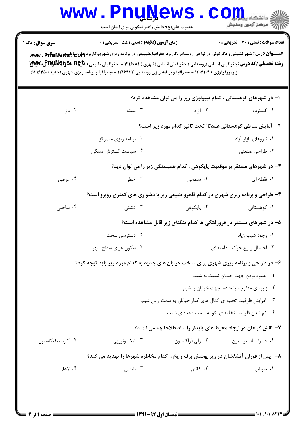## **www.PnuNews.com** ﴾<br>\||// = مرڪز آزمون وسنڊش حضرت علی(ع): دانش راهبر نیکویی برای ایمان است **تعداد سوالات : تستي : 30 - تشريحي : 0 سری سوال :** یک ۱ زمان آزمون (دقيقه) : تستى : 55 تشريحي : 0 عنـــوان درس: شهر نشینی و دگرگونی در نواحی روستایی،کاربرد جغرافیایطبییعی در برنامه ریزی شهری،کاربرد Let و www ژئومورفولوژی ) ۱۲۱۶۱۰۴ - ،جغرافیا و برنامه ریزی روستایی ۱۲۱۶۴۲۳ - ،جغرافیا و برنامه ریزی شهری (جدید)۱۲۱۶۴۵۰) ا– در شهرهای کوهستانی ، کدام تیپولوژی زیر را می توان مشاهده کرد؟ ۰۴ باز ۰۲ آ:اد ۰۳ سته ۰۱ گسترده ٢- آمايش مناطق كوهستاني عمدتا" تحت تاثير كدام مورد زير است؟ ۰۲ برنامه ریزی متمرکز ۰۱ نیروهای بازار آزاد ۰۴ سیاست گسترش مسکن ۰۳ طراحی صنعتی ۳- در شهرهای مستقر بر موقعیت پایکوهی ، کدام همبستگی زیر را می توان دید؟ ۰۴ عرضی ۰۳ خطے ٢. سطحي ۰۱ نقطه ای ۴- طراحی و برنامه ریزی شهری در کدام قلمرو طبیعی زیر با دشواری های کمتری روبرو است؟ ۰۱ کوهستانی ۰۴ ساحلی ۰۳ دشتے ۰۲ پایکوهے ۵– در شهرهای مستقر در فرورفتگی ها کدام تنگنای زیر قابل مشاهده است؟ ۰۲ دسترسی سخت ۰۱ وجود شیب زیاد ۰۴ سکون هوای سطح شهر ۰۳ احتمال وقوع حركات دامنه اي ۶- در طراحی و برنامه ریزی شهری برای ساخت خیابان های جدید به کدام مورد زیر باید توجه کرد؟

- ٠١. عمود بودن جهت خيابان نسبت به شيب
- ۰۲ زاویه ی منفرجه یا حاده جهت خیابان با شیب
- ۰۳ افزایش ظرفیت تخلیه ی کانال های کنار خیابان به سمت راس شیب
	- ۰۴ کم شدن ظرفیت تخلیه ی اگو به سمت قاعده ی شیب

## ۷– نقش گیاهان در ایجاد محیط های پایدار را ، اصطلاحا چه می نامند؟

| ۰۴ کارستیفیکاسیون | ۰۳ تیکسوتروپی | ۰۲ ژلی فراکسیون | ۰۱ فیتواستابیلیزاسیون |
|-------------------|---------------|-----------------|-----------------------|
|                   |               |                 |                       |

## ۸– یس از فوران آتشفشان در زیر پوشش برف و یخ ، کدام مخاطره شهرها را تهدید می کند؟

۰۴ لاها, ۰۳ باتنس ۰۲ کانتو, ٠١. سونامي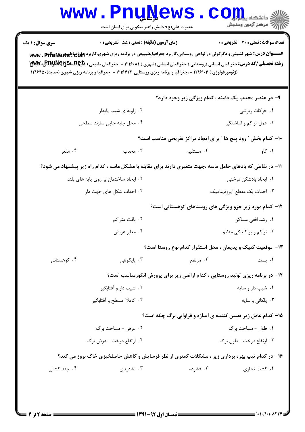| <b>WWW</b>                                                                                                                                                                                                                                                                                                                                                                                                                                                                                                          | <u>LII ÑĨĴAM D</u><br>حضرت علی(ع): دانش راهبر نیکویی برای ایمان است                                        |                                                                              | د دانشڪاه پ <b>ياي</b> ا<br>رآ مرڪز آزمون وسنڊش |  |  |  |
|---------------------------------------------------------------------------------------------------------------------------------------------------------------------------------------------------------------------------------------------------------------------------------------------------------------------------------------------------------------------------------------------------------------------------------------------------------------------------------------------------------------------|------------------------------------------------------------------------------------------------------------|------------------------------------------------------------------------------|-------------------------------------------------|--|--|--|
| زمان آزمون (دقیقه) : تستی : 55 آتشریحی : 0<br><b>تعداد سوالات : تستی : 30 ٪ تشریحی : 0</b><br><b>سری سوال : ۱ یک</b><br>عنـــوان درس: شهر نشینی و دگرگونی در نواحی روستایی،کاربرد جغرافیایطبییعی در برنامه ریزی شهری،کاربرد Www . PfluNews یا<br><b>رشته تحصیلی/کد درس:</b> جغرافیای انسانی (روستایی )،جغرافیای انسانی (شهری ) ۱۲۱۶۰۸۱ - ،جغرافیای طبیعی (اق <b>لیهشناهای اقلا</b> لهایی و کلایلایی<br>(ژئومورفولوژی ) ۱۲۱۶۱۰۴ - ،جغرافیا و برنامه ریزی روستایی ۱۲۱۶۴۲۳ - ،جغرافیا و برنامه ریزی شهری (جدید)۱۲۱۶۴۵۰ |                                                                                                            |                                                                              |                                                 |  |  |  |
|                                                                                                                                                                                                                                                                                                                                                                                                                                                                                                                     |                                                                                                            | ۹- در عنصر محدب یک دامنه ، کدام ویژگی زیر وجود دارد؟                         |                                                 |  |  |  |
|                                                                                                                                                                                                                                                                                                                                                                                                                                                                                                                     | ۰۲ زاویه ی شیب پایدار                                                                                      | ۰۱ حرکات ریزشی                                                               |                                                 |  |  |  |
|                                                                                                                                                                                                                                                                                                                                                                                                                                                                                                                     | ۰۴ محل جابه جایی سازند سطحی                                                                                |                                                                              | ۰۳ عمل تراکم و انباشتگی                         |  |  |  |
|                                                                                                                                                                                                                                                                                                                                                                                                                                                                                                                     | ۱۰- کدام بخش " رود پیچ ها " برای ایجاد مراکز تفریحی مناسب است؟                                             |                                                                              |                                                 |  |  |  |
| ۰۴ مقعر                                                                                                                                                                                                                                                                                                                                                                                                                                                                                                             | ۰۳ محدب                                                                                                    | ۰۲ مستقیم                                                                    | ۰۱ کاو                                          |  |  |  |
|                                                                                                                                                                                                                                                                                                                                                                                                                                                                                                                     | 11– در نقاطی که بادهای حامل ماسه ،جهت متغیری دارند برای مقابله با مشکل ماسه ، کدام راه زیر پیشنهاد می شود؟ |                                                                              |                                                 |  |  |  |
| ۰۲ ایجاد ساختمان بر روی پایه های بلند                                                                                                                                                                                                                                                                                                                                                                                                                                                                               |                                                                                                            |                                                                              | ۰۱ ایجاد بادشکن درختی                           |  |  |  |
|                                                                                                                                                                                                                                                                                                                                                                                                                                                                                                                     | ۰۴ احداث شکل های جهت دار                                                                                   | ۰۳ احداث یک مقطع آیرودینامیک                                                 |                                                 |  |  |  |
| ۱۲- کدام مورد زیر جزو ویژگی های روستاهای کوهستانی است؟                                                                                                                                                                                                                                                                                                                                                                                                                                                              |                                                                                                            |                                                                              |                                                 |  |  |  |
|                                                                                                                                                                                                                                                                                                                                                                                                                                                                                                                     | ۰۲ بافت متراکم                                                                                             |                                                                              | ۰۱ رشد افقی مساکن                               |  |  |  |
|                                                                                                                                                                                                                                                                                                                                                                                                                                                                                                                     | ۰۴ معابر عريض                                                                                              |                                                                              | ۰۳ تراکم و پراکندگی منظم                        |  |  |  |
|                                                                                                                                                                                                                                                                                                                                                                                                                                                                                                                     | ۱۳– موقعیت کنیک و پدیمان ، محل استقرار کدام نوع روستا است؟                                                 |                                                                              |                                                 |  |  |  |
| ۰۴ کوهستانی                                                                                                                                                                                                                                                                                                                                                                                                                                                                                                         | ۰۳ پایکوهی                                                                                                 | ۰۲ مرتفع                                                                     | ۰۱ پست                                          |  |  |  |
|                                                                                                                                                                                                                                                                                                                                                                                                                                                                                                                     |                                                                                                            | ۱۴- در برنامه ریزی تولید روستایی ، کدام اراضی زیر برای پرورش انگورمناسب است؟ |                                                 |  |  |  |
|                                                                                                                                                                                                                                                                                                                                                                                                                                                                                                                     | ۰۲ شیب دار و آفتابگیر                                                                                      | ۰۱ شیب دار و سایه                                                            |                                                 |  |  |  |
|                                                                                                                                                                                                                                                                                                                                                                                                                                                                                                                     | ۰۴ کاملا" مسطح و آفتابگیر                                                                                  |                                                                              | ۰۳ پلکانی و سایه                                |  |  |  |
| ۱۵- کدام عامل زیر تعیین کننده ی اندازه و فراوانی برگ چکه است؟                                                                                                                                                                                                                                                                                                                                                                                                                                                       |                                                                                                            |                                                                              |                                                 |  |  |  |
|                                                                                                                                                                                                                                                                                                                                                                                                                                                                                                                     | ۰۲ عرض - مساحت برگ                                                                                         | ۰۱ طول - مساحت برگ                                                           |                                                 |  |  |  |
|                                                                                                                                                                                                                                                                                                                                                                                                                                                                                                                     | ۰۴ ارتفاع درخت - عرض برگ                                                                                   |                                                                              | ۰۳ ارتفاع درخت - طول برگ                        |  |  |  |
| ۱۶- در کدام تیپ بهره برداری زیر ، مشکلات کمتری از نظر فرسایش و کاهش حاصلخیزی خاک بروز می کند؟                                                                                                                                                                                                                                                                                                                                                                                                                       |                                                                                                            |                                                                              |                                                 |  |  |  |
| ۰۴ چند کشتی                                                                                                                                                                                                                                                                                                                                                                                                                                                                                                         | ۰۳ تشدیدی                                                                                                  | ۰۲ فشرده                                                                     | ۰۱ کشت تجاری                                    |  |  |  |
|                                                                                                                                                                                                                                                                                                                                                                                                                                                                                                                     |                                                                                                            |                                                                              |                                                 |  |  |  |
|                                                                                                                                                                                                                                                                                                                                                                                                                                                                                                                     |                                                                                                            |                                                                              |                                                 |  |  |  |
|                                                                                                                                                                                                                                                                                                                                                                                                                                                                                                                     |                                                                                                            |                                                                              |                                                 |  |  |  |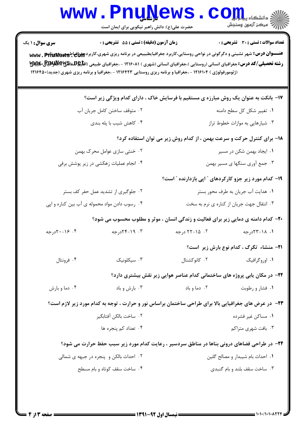| الا دانشڪاه پياپاليو<br>الا سيڪز آنهون وسنڊش   |                                                                                   | حضرت علی(ع): دانش راهبر نیکویی برای ایمان است                                                                                                                                                                                                                       |                                                                                                                                        |  |
|------------------------------------------------|-----------------------------------------------------------------------------------|---------------------------------------------------------------------------------------------------------------------------------------------------------------------------------------------------------------------------------------------------------------------|----------------------------------------------------------------------------------------------------------------------------------------|--|
| <b>تعداد سوالات : تستی : 30 ٪ تشریحی : 0</b>   |                                                                                   | زمان آزمون (دقیقه) : تستی : 55 آتشریحی : 0                                                                                                                                                                                                                          | <b>سری سوال : ۱ یک</b>                                                                                                                 |  |
|                                                |                                                                                   | <b>رشته تحصیلی/کد درس:</b> جغرافیای انسانی (روستایی )،جغرافیای انسانی (شهری ) ۱۲۱۶۰۸۱ - ،جغرافیای طبیعی (اق <b>لیهشناهای اقلابهای اقلابهای</b><br>.<br>(ژئومورفولوژی ) ۱۲۱۶۱۰۴ - ،جغرافیا و برنامه ریزی روستایی ۱۲۱۶۴۲۳ - ،جغرافیا و برنامه ریزی شهری (جدید)۱۲۱۶۴۵۰ | <b>عنـــوان درس:</b> شهر نشینی و دگرگونی در نواحی روستایی،کاربرد جغرافیایطبییعی در برنامه ریزی شهری،کاربرد Www . PfluNew3 <sup>ی</sup> |  |
|                                                |                                                                                   | ۱۷- بانکت به عنوان یک روش مبارزه ی مستقیم با فرسایش خاک ، دارای کدام ویژگی زیر است؟                                                                                                                                                                                 |                                                                                                                                        |  |
| ٠١ تغيير شكل كل سطح دامنه                      |                                                                                   | ۰۲ متوقف ساختن کامل جریان آب                                                                                                                                                                                                                                        |                                                                                                                                        |  |
| ۰۳ شیارهایی به موازات خطوط تراز                |                                                                                   |                                                                                                                                                                                                                                                                     | ۰۴ کاهش شیب با پله بندی                                                                                                                |  |
|                                                | ۱۸- برای کنترل حرکت و سرعت بهمن ، از کدام روش زیر می توان استفاده کرد؟            |                                                                                                                                                                                                                                                                     |                                                                                                                                        |  |
| ۰۱ ایجاد بهمن شکن در مسیر                      |                                                                                   | ۰۲ خنثی سازی عوامل محرک بهمن                                                                                                                                                                                                                                        |                                                                                                                                        |  |
| ۰۳ جمع آوری سنگها ی مسیر بهمن                  |                                                                                   |                                                                                                                                                                                                                                                                     | ۰۴ انجام عملیات زهکشی در زیر پوشش برفی                                                                                                 |  |
|                                                | ۱۹– کدام مورد زیر جزو کارکردهای " اپی بازدارنده " است؟                            |                                                                                                                                                                                                                                                                     |                                                                                                                                        |  |
| ۰۱ هدایت آب جریان به طرف محور بستر             |                                                                                   |                                                                                                                                                                                                                                                                     | ۰۲ جلوگیری از تشدید عمل حفر کف بستر                                                                                                    |  |
| ۰۳ انتقال جهت جریان از کناره ی نرم به سخت      |                                                                                   |                                                                                                                                                                                                                                                                     | ۰۴ رسوب دادن مواد محموله ی آب بین کناره و اپی                                                                                          |  |
|                                                |                                                                                   | ۲۰- کدام دامنه ی دمایی زیر برای فعالیت و زندگی انسان ، موثر و مطلوب محسوب می شود؟                                                                                                                                                                                   |                                                                                                                                        |  |
| ۰۱. ۱۸-۲۳درجه                                  | ۰۲ - ۲۸-۲۲ درجه                                                                   | ۰۳ - ۲۹-۲۴درجه                                                                                                                                                                                                                                                      | ۰۲ ۱۶–۲۰د, جه                                                                                                                          |  |
| <b>٢١-</b> منشاء تگرگ ، كدام نوع بارش زير است؟ |                                                                                   |                                                                                                                                                                                                                                                                     |                                                                                                                                        |  |
| ۰۱ اوروگرافیک                                  | ۰۲ کانوکشنال                                                                      | ۰۳ سیکلونیک                                                                                                                                                                                                                                                         | ۰۴ فرونتال                                                                                                                             |  |
|                                                | <b>۲۲</b> - در مکان یابی پروژه های ساختمانی کدام عناصر هوایی زیر نقش بیشتری دارد؟ |                                                                                                                                                                                                                                                                     |                                                                                                                                        |  |
| ۰۱ فشار و رطوبت                                | ۰۲ دما و باد                                                                      | ۰۳ بارش و باد                                                                                                                                                                                                                                                       | ۰۴ دما و بارش                                                                                                                          |  |
|                                                |                                                                                   | <b>۲۳</b> - در عرض های جغرافیایی بالا برای طراحی ساختمان براساس نور و حرارت ، توجه به کدام مورد زیر لازم است؟                                                                                                                                                       |                                                                                                                                        |  |
| ٠١ مساكن غير فشرده                             |                                                                                   | ٢٠. ساخت بالكن آفتابگير                                                                                                                                                                                                                                             |                                                                                                                                        |  |
| ۰۳ بافت شهری متراکم                            |                                                                                   | ۰۴ تعداد کم پنجره ها                                                                                                                                                                                                                                                |                                                                                                                                        |  |
|                                                |                                                                                   | <b>34</b> - در طراحی فضاهای درونی بناها در مناطق سردسیر ، رعایت کدام مورد زیر سبب حفظ حرارت می شود؟                                                                                                                                                                 |                                                                                                                                        |  |
| ۰۱ احداث بام شیبدار و مصالح گلین               |                                                                                   |                                                                                                                                                                                                                                                                     | ۰۲ احداث بالکن و پنجره در جبهه ی شمالی                                                                                                 |  |
| ۰۳ ساخت سقف بلند و بام گنبدی                   |                                                                                   | ۰۴ ساخت سقف کوتاه و بام مسطح                                                                                                                                                                                                                                        |                                                                                                                                        |  |